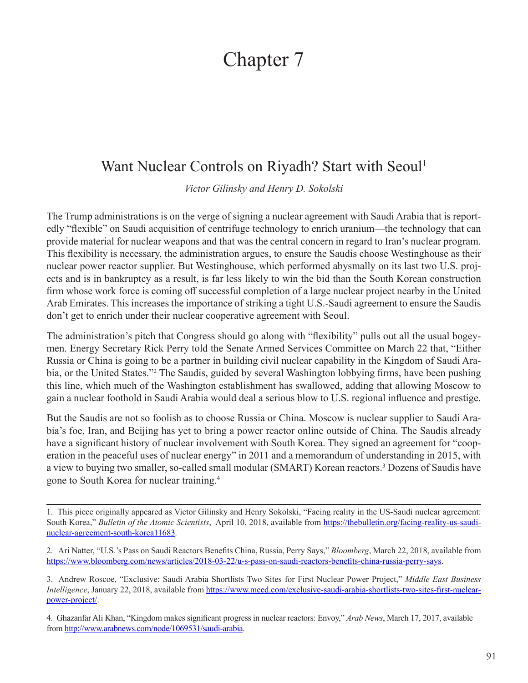## Chapter 7

## Want Nuclear Controls on Riyadh? Start with Seoul<sup>1</sup>

*Victor Gilinsky and Henry D. Sokolski*

The Trump administrations is on the verge of signing a nuclear agreement with Saudi Arabia that is reportedly "flexible" on Saudi acquisition of centrifuge technology to enrich uranium—the technology that can provide material for nuclear weapons and that was the central concern in regard to Iran's nuclear program. This flexibility is necessary, the administration argues, to ensure the Saudis choose Westinghouse as their nuclear power reactor supplier. But Westinghouse, which performed abysmally on its last two U.S. projects and is in bankruptcy as a result, is far less likely to win the bid than the South Korean construction firm whose work force is coming off successful completion of a large nuclear project nearby in the United Arab Emirates. This increases the importance of striking a tight U.S.-Saudi agreement to ensure the Saudis don't get to enrich under their nuclear cooperative agreement with Seoul.

The administration's pitch that Congress should go along with "flexibility" pulls out all the usual bogeymen. Energy Secretary Rick Perry told the Senate Armed Services Committee on March 22 that, "Either Russia or China is going to be a partner in building civil nuclear capability in the Kingdom of Saudi Arabia, or the United States."<sup>2</sup> The Saudis, guided by several Washington lobbying firms, have been pushing this line, which much of the Washington establishment has swallowed, adding that allowing Moscow to gain a nuclear foothold in Saudi Arabia would deal a serious blow to U.S. regional influence and prestige.

But the Saudis are not so foolish as to choose Russia or China. Moscow is nuclear supplier to Saudi Arabia's foe, Iran, and Beijing has yet to bring a power reactor online outside of China. The Saudis already have a significant history of nuclear involvement with South Korea. They signed an agreement for "cooperation in the peaceful uses of nuclear energy" in 2011 and a memorandum of understanding in 2015, with a view to buying two smaller, so-called small modular (SMART) Korean reactors.3 Dozens of Saudis have gone to South Korea for nuclear training.4

<sup>1.</sup> This piece originally appeared as Victor Gilinsky and Henry Sokolski, "Facing reality in the US-Saudi nuclear agreement: South Korea," *Bulletin of the Atomic Scientists*, April 10, 2018, available from [https://thebulletin.org/facing-reality-us-saudi](https://thebulletin.org/facing-reality-us-saudi-nuclear-agreement-south-korea11683)[nuclear-agreement-south-korea11683](https://thebulletin.org/facing-reality-us-saudi-nuclear-agreement-south-korea11683)*.*

<sup>2.</sup> Ari Natter, "U.S.'s Pass on Saudi Reactors Benefits China, Russia, Perry Says," *Bloomberg*, March 22, 2018, available from <https://www.bloomberg.com/news/articles/2018-03-22/u-s-pass-on-saudi-reactors-benefits-china-russia-perry-says>.

<sup>3.</sup> Andrew Roscoe, "Exclusive: Saudi Arabia Shortlists Two Sites for First Nuclear Power Project," *Middle East Business Intelligence*, January 22, 2018, available from [https://www.meed.com/exclusive-saudi-arabia-shortlists-two-sites-first-nuclear](https://www.meed.com/exclusive-saudi-arabia-shortlists-two-sites-first-nuclear-power-project/)[power-project/.](https://www.meed.com/exclusive-saudi-arabia-shortlists-two-sites-first-nuclear-power-project/)

<sup>4.</sup> Ghazanfar Ali Khan, "Kingdom makes significant progress in nuclear reactors: Envoy," *Arab News*, March 17, 2017, available from [http://www.arabnews.com/node/1069531/saudi-arabia.](http://www.arabnews.com/node/1069531/saudi-arabia)